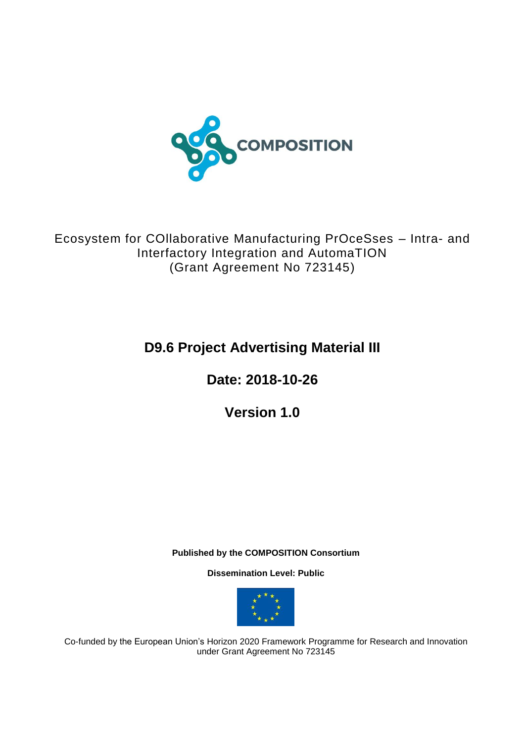

Ecosystem for COllaborative Manufacturing PrOceSses – Intra- and Interfactory Integration and AutomaTION (Grant Agreement No 723145)

# **D9.6 Project Advertising Material III**

**Date: 2018-10-26**

**Version 1.0**

**Published by the COMPOSITION Consortium** 

**Dissemination Level: Public**



Co-funded by the European Union's Horizon 2020 Framework Programme for Research and Innovation under Grant Agreement No 723145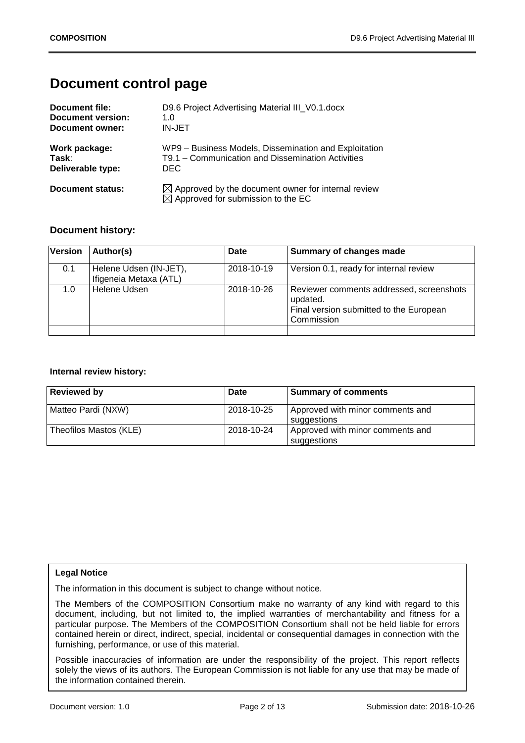# **Document control page**

| Document file:    | D9.6 Project Advertising Material III V0.1. docx                                                                |
|-------------------|-----------------------------------------------------------------------------------------------------------------|
| Document version: | 1.0                                                                                                             |
| Document owner:   | IN-JET                                                                                                          |
| Work package:     | WP9 - Business Models, Dissemination and Exploitation                                                           |
| Task:             | T9.1 – Communication and Dissemination Activities                                                               |
| Deliverable type: | DEC.                                                                                                            |
| Document status:  | $\boxtimes$ Approved by the document owner for internal review<br>$\boxtimes$ Approved for submission to the EC |

### **Document history:**

| <b>Version</b> | Author(s)                                        | Date       | Summary of changes made                                                                                       |
|----------------|--------------------------------------------------|------------|---------------------------------------------------------------------------------------------------------------|
| 0.1            | Helene Udsen (IN-JET),<br>Ifigeneia Metaxa (ATL) | 2018-10-19 | Version 0.1, ready for internal review                                                                        |
| 1.0            | Helene Udsen                                     | 2018-10-26 | Reviewer comments addressed, screenshots<br>updated.<br>Final version submitted to the European<br>Commission |
|                |                                                  |            |                                                                                                               |

#### **Internal review history:**

| <b>Reviewed by</b>     | Date       | <b>Summary of comments</b>                      |
|------------------------|------------|-------------------------------------------------|
| Matteo Pardi (NXW)     | 2018-10-25 | Approved with minor comments and<br>suggestions |
| Theofilos Mastos (KLE) | 2018-10-24 | Approved with minor comments and<br>suggestions |

#### **Legal Notice**

The information in this document is subject to change without notice.

The Members of the COMPOSITION Consortium make no warranty of any kind with regard to this document, including, but not limited to, the implied warranties of merchantability and fitness for a particular purpose. The Members of the COMPOSITION Consortium shall not be held liable for errors contained herein or direct, indirect, special, incidental or consequential damages in connection with the furnishing, performance, or use of this material.

Possible inaccuracies of information are under the responsibility of the project. This report reflects solely the views of its authors. The European Commission is not liable for any use that may be made of the information contained therein.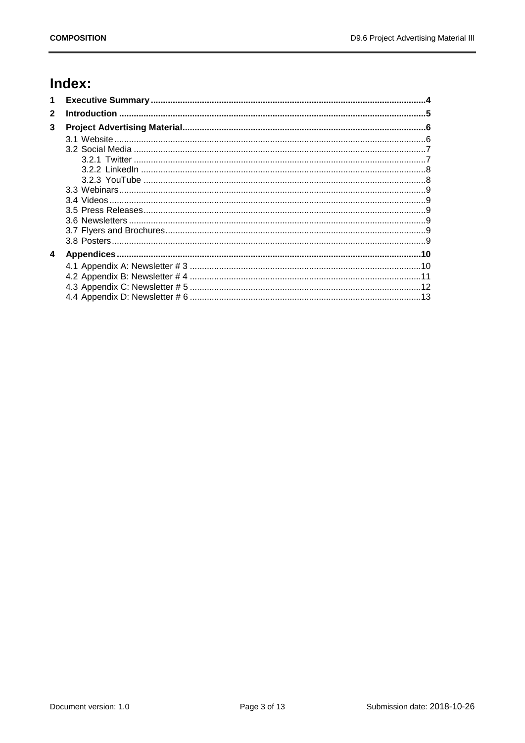# Index:

| 1            |  |
|--------------|--|
| $\mathbf{2}$ |  |
| 3            |  |
|              |  |
|              |  |
|              |  |
|              |  |
|              |  |
|              |  |
|              |  |
|              |  |
|              |  |
|              |  |
|              |  |
| 4            |  |
|              |  |
|              |  |
|              |  |
|              |  |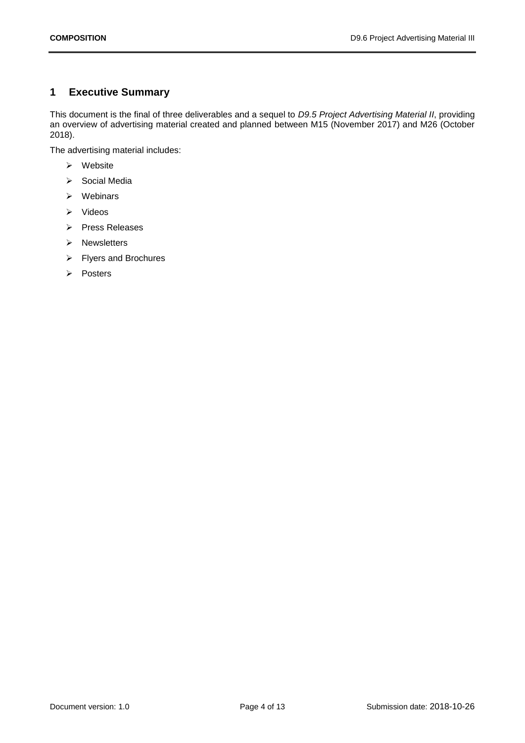## <span id="page-3-0"></span>**1 Executive Summary**

This document is the final of three deliverables and a sequel to *D9.5 Project Advertising Material II*, providing an overview of advertising material created and planned between M15 (November 2017) and M26 (October 2018).

The advertising material includes:

- ➢ Website
- ➢ Social Media
- ➢ Webinars
- ➢ Videos
- ➢ Press Releases
- ➢ Newsletters
- ➢ Flyers and Brochures
- ➢ Posters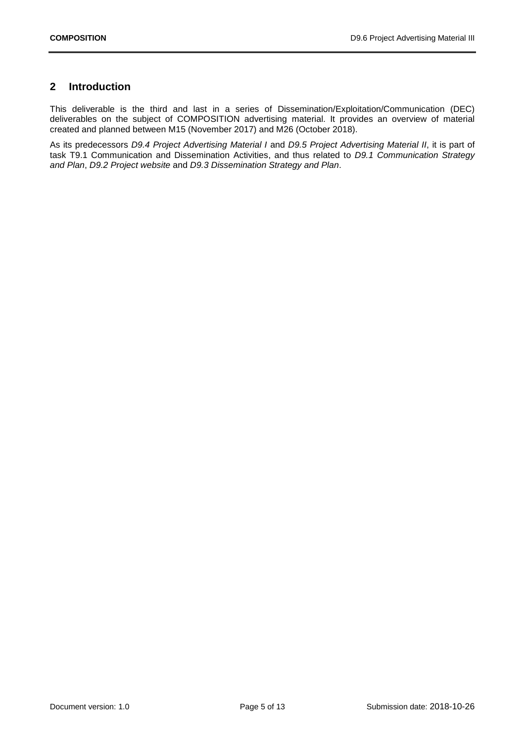## <span id="page-4-0"></span>**2 Introduction**

This deliverable is the third and last in a series of Dissemination/Exploitation/Communication (DEC) deliverables on the subject of COMPOSITION advertising material. It provides an overview of material created and planned between M15 (November 2017) and M26 (October 2018).

As its predecessors *D9.4 Project Advertising Material I* and *D9.5 Project Advertising Material II*, it is part of task T9.1 Communication and Dissemination Activities, and thus related to *D9.1 Communication Strategy and Plan*, *D9.2 Project website* and *D9.3 Dissemination Strategy and Plan*.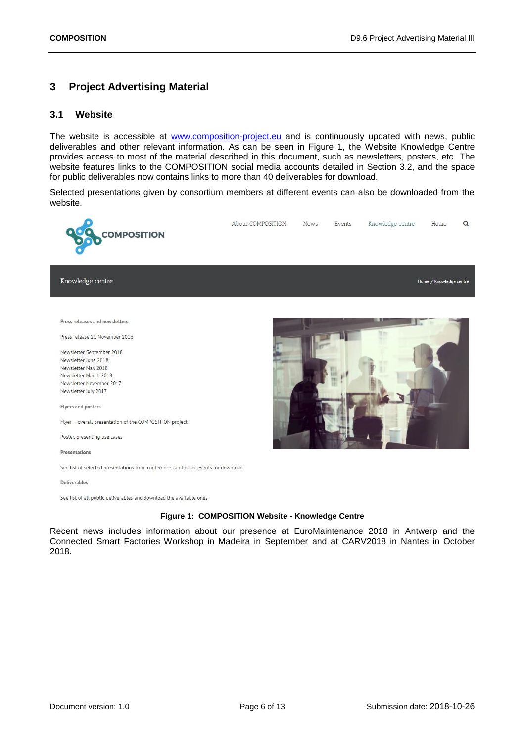## <span id="page-5-0"></span>**3 Project Advertising Material**

#### <span id="page-5-1"></span>**3.1 Website**

The website is accessible at [www.composition-project.eu](http://www.composition-project.eu/) and is continuously updated with news, public deliverables and other relevant information. As can be seen in [Figure 1,](#page-5-2) the Website Knowledge Centre provides access to most of the material described in this document, such as newsletters, posters, etc. The website features links to the COMPOSITION social media accounts detailed in Section [3.2,](#page-6-0) and the space for public deliverables now contains links to more than 40 deliverables for download.

Selected presentations given by consortium members at different events can also be downloaded from the website.



See list of all public deliverables and download the available ones

#### **Figure 1: COMPOSITION Website - Knowledge Centre**

<span id="page-5-2"></span>Recent news includes information about our presence at EuroMaintenance 2018 in Antwerp and the Connected Smart Factories Workshop in Madeira in September and at CARV2018 in Nantes in October 2018.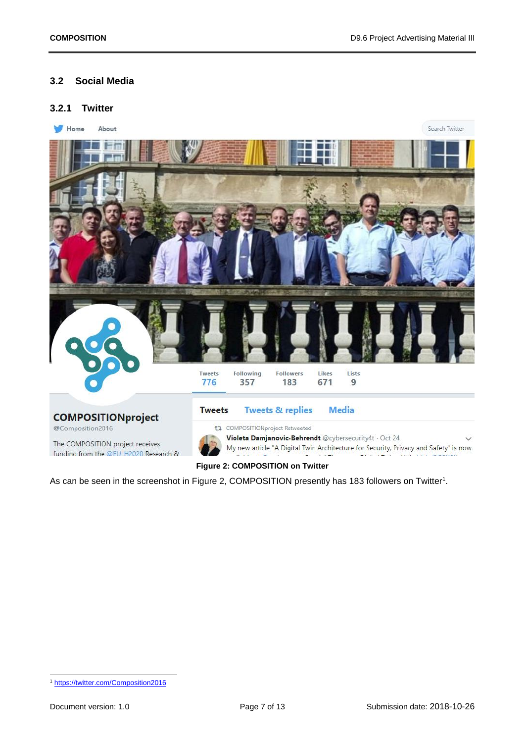### <span id="page-6-0"></span>**3.2 Social Media**

#### <span id="page-6-1"></span>**3.2.1 Twitter**



<span id="page-6-2"></span>As can be seen in the screenshot in [Figure 2,](#page-6-2) COMPOSITION presently has 183 followers on Twitter<sup>1</sup>.

<sup>-</sup><sup>1</sup> <https://twitter.com/Composition2016>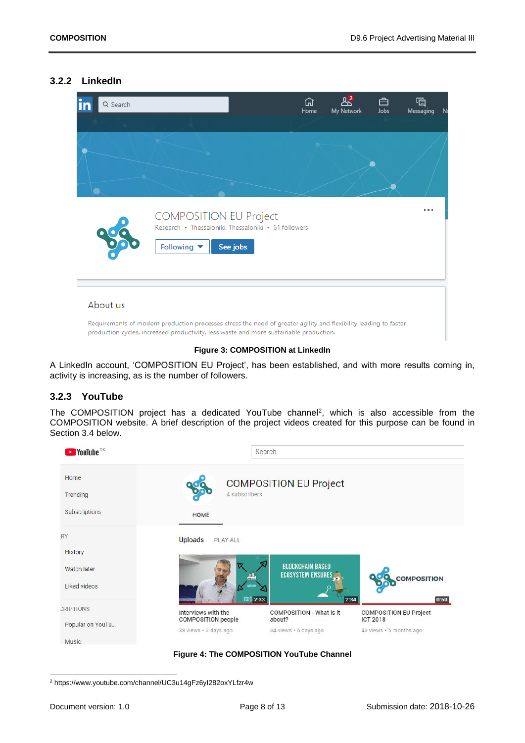#### <span id="page-7-0"></span>**3.2.2 LinkedIn**



#### **Figure 3: COMPOSITION at LinkedIn**

A LinkedIn account, 'COMPOSITION EU Project', has been established, and with more results coming in, activity is increasing, as is the number of followers.

#### <span id="page-7-1"></span>**3.2.3 YouTube**

The COMPOSITION project has a dedicated YouTube channel<sup>2</sup>, which is also accessible from the COMPOSITION website. A brief description of the project videos created for this purpose can be found in Section [3.4](#page-8-1) below.





<sup>2</sup> https://www.youtube.com/channel/UC3u14gFz6yI282oxYLfzr4w

-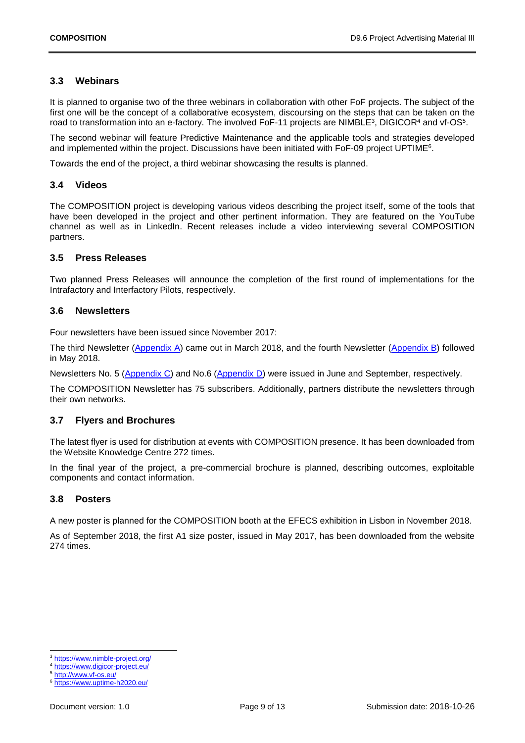### <span id="page-8-0"></span>**3.3 Webinars**

It is planned to organise two of the three webinars in collaboration with other FoF projects. The subject of the first one will be the concept of a collaborative ecosystem, discoursing on the steps that can be taken on the road to transformation into an e-factory. The involved FoF-11 projects are NIMBLE<sup>3</sup>, DIGICOR<sup>4</sup> and vf-OS<sup>5</sup>.

The second webinar will feature Predictive Maintenance and the applicable tools and strategies developed and implemented within the project. Discussions have been initiated with FoF-09 project UPTIME<sup>6</sup>.

Towards the end of the project, a third webinar showcasing the results is planned.

#### <span id="page-8-1"></span>**3.4 Videos**

The COMPOSITION project is developing various videos describing the project itself, some of the tools that have been developed in the project and other pertinent information. They are featured on the YouTube channel as well as in LinkedIn. Recent releases include a video interviewing several COMPOSITION partners.

### <span id="page-8-2"></span>**3.5 Press Releases**

Two planned Press Releases will announce the completion of the first round of implementations for the Intrafactory and Interfactory Pilots, respectively.

### <span id="page-8-3"></span>**3.6 Newsletters**

Four newsletters have been issued since November 2017:

The third Newsletter [\(Appendix A\)](#page-9-1) came out in March 2018, and the fourth Newsletter [\(Appendix B\)](#page-10-0) followed in May 2018.

Newsletters No. 5 [\(Appendix C\)](#page-11-0) and No.6 [\(Appendix D\)](#page-12-0) were issued in June and September, respectively.

The COMPOSITION Newsletter has 75 subscribers. Additionally, partners distribute the newsletters through their own networks.

### <span id="page-8-4"></span>**3.7 Flyers and Brochures**

The latest flyer is used for distribution at events with COMPOSITION presence. It has been downloaded from the Website Knowledge Centre 272 times.

In the final year of the project, a pre-commercial brochure is planned, describing outcomes, exploitable components and contact information.

#### <span id="page-8-5"></span>**3.8 Posters**

A new poster is planned for the COMPOSITION booth at the EFECS exhibition in Lisbon in November 2018.

As of September 2018, the first A1 size poster, issued in May 2017, has been downloaded from the website 274 times.

1

<sup>3</sup> <https://www.nimble-project.org/>

<https://www.digicor-project.eu/>

<sup>5</sup> <http://www.vf-os.eu/>

<https://www.uptime-h2020.eu/>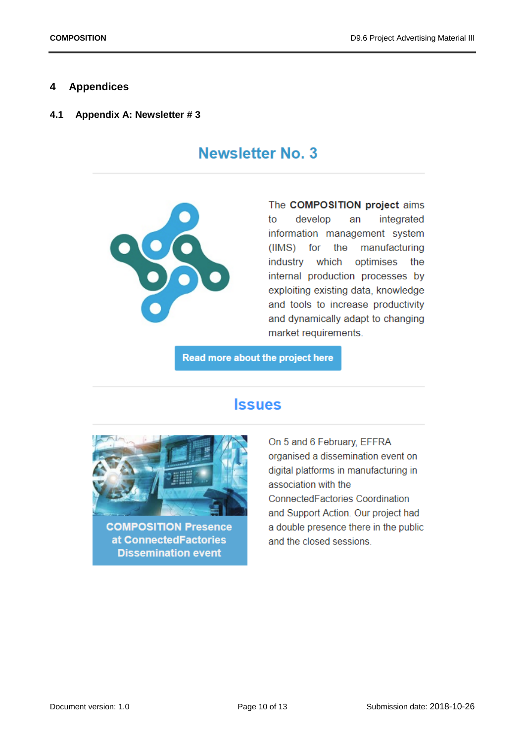### <span id="page-9-0"></span>**4 Appendices**

<span id="page-9-1"></span>**4.1 Appendix A: Newsletter # 3**

# **Newsletter No. 3**



The COMPOSITION project aims develop integrated to an information management system the manufacturing (IIMS) for industry which optimises the internal production processes by exploiting existing data, knowledge and tools to increase productivity and dynamically adapt to changing market requirements.

Read more about the project here

# **Issues**



**COMPOSITION Presence** at ConnectedFactories **Dissemination event** 

On 5 and 6 February, EFFRA organised a dissemination event on digital platforms in manufacturing in association with the ConnectedFactories Coordination and Support Action. Our project had a double presence there in the public and the closed sessions.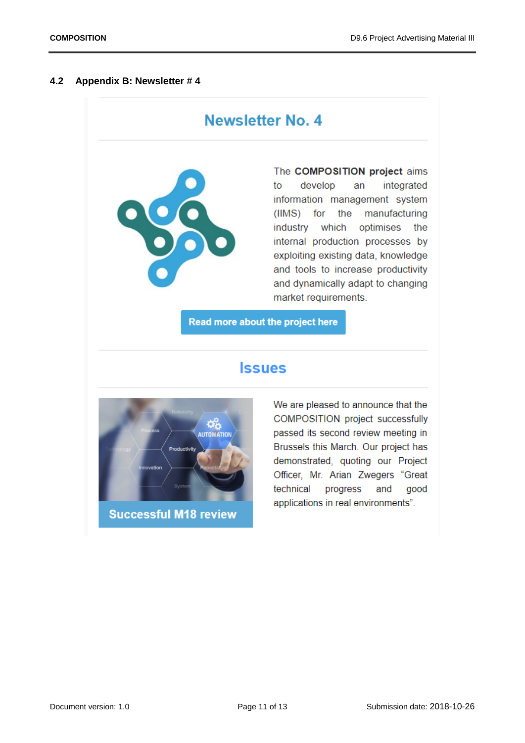#### <span id="page-10-0"></span>**4.2 Appendix B: Newsletter # 4**

# **Newsletter No. 4**



The COMPOSITION project aims to develop an integrated information management system (IIMS) for the manufacturing industry which optimises the internal production processes by exploiting existing data, knowledge and tools to increase productivity and dynamically adapt to changing market requirements.

Read more about the project here

# **Issues**



We are pleased to announce that the COMPOSITION project successfully passed its second review meeting in Brussels this March. Our project has demonstrated, quoting our Project Officer, Mr. Arian Zwegers "Great technical progress and good applications in real environments".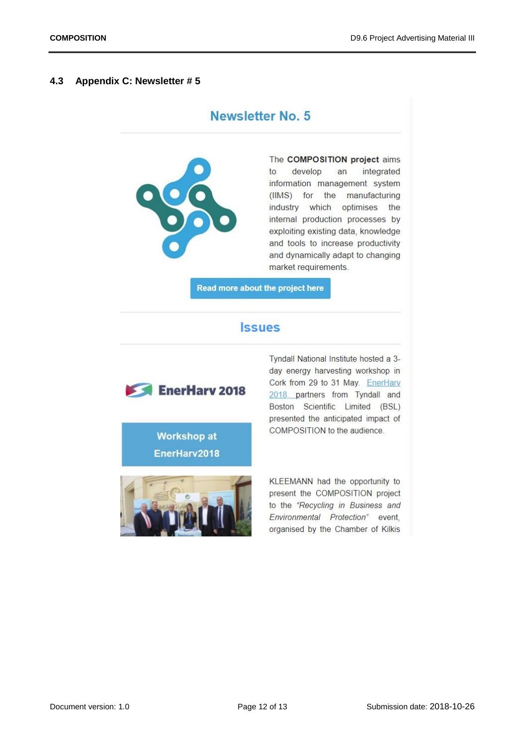#### <span id="page-11-0"></span>**4.3 Appendix C: Newsletter # 5**

# **Newsletter No. 5**



The COMPOSITION project aims  $to$ develop integrated an information management system (IIMS) for the manufacturing industry which optimises the internal production processes by exploiting existing data, knowledge and tools to increase productivity and dynamically adapt to changing market requirements.

Read more about the project here

## **Issues**



day energy harvesting workshop in Cork from 29 to 31 May. EnerHarv 2018, partners from Tyndall and Boston Scientific Limited (BSL) presented the anticipated impact of COMPOSITION to the audience.

Tyndall National Institute hosted a 3-

EnerHarv2018

**Workshop at** 



KLEEMANN had the opportunity to present the COMPOSITION project to the "Recycling in Business and Environmental Protection" event. organised by the Chamber of Kilkis